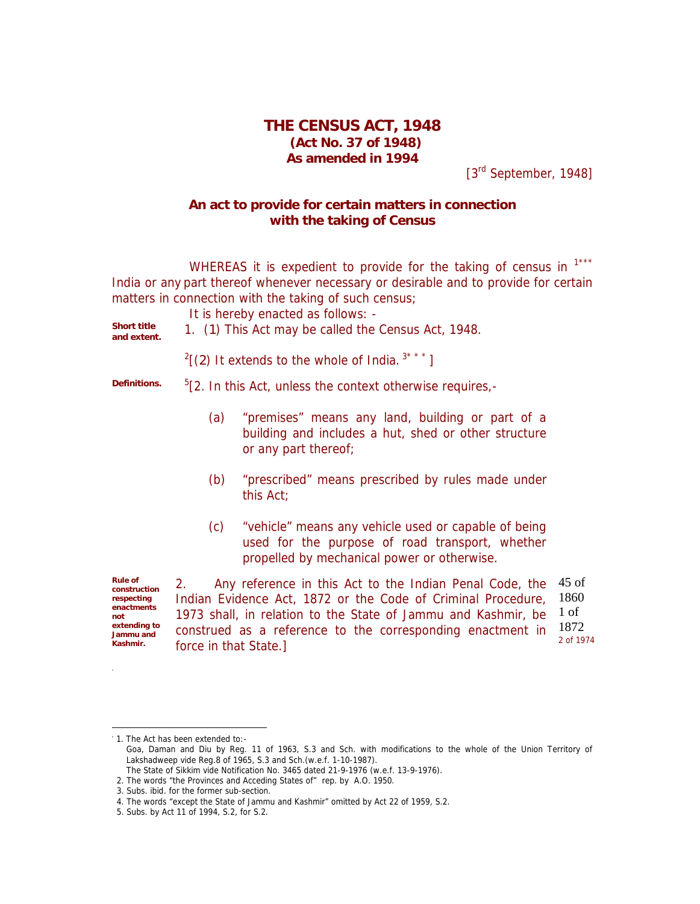## **THE CENSUS ACT, 1948 (Act No. 37 of 1948) As amended in 1994**

[3<sup>rd</sup> September, 1948]

## **An act to provide for certain matters in connection with the taking of Census**

WHEREAS it is expedient to provide for the taking of census in 1\*\*\* India or any part thereof whenever necessary or desirable and to provide for certain matters in connection with the taking of such census;

It is hereby enacted as follows: -

*Short title*

- *and extent.* 1. (*1*) This Act may be called the Census Act, 1948.
- 

 $2$ [(2) It extends to the whole of India.<sup>3\*\*\*</sup>]

**Definitions.** 

 $5$ [2. In this Act, unless the context otherwise requires,-

- (a) "premises" means any land, building or part of a building and includes a hut, shed or other structure or any part thereof;
- (b) "prescribed" means prescribed by rules made under this Act;
- (c) "vehicle" means any vehicle used or capable of being used for the purpose of road transport, whether propelled by mechanical power or otherwise.

*Rule of construction respecting enactments not extending to Jammu and Kashmir.*

ł

2. Any reference in this Act to the Indian Penal Code, the 45 of Indian Evidence Act, 1872 or the Code of Criminal Procedure, 1973 shall, in relation to the State of Jammu and Kashmir, be construed as a reference to the corresponding enactment in force in that State.] 1860 1 of 1872 2 of 1974

1. The Act has been extended to:-

Goa, Daman and Diu by Reg. 11 of 1963, S.3 and Sch. with modifications to the whole of the Union Territory of Lakshadweep vide Reg.8 of 1965, S.3 and Sch.(w.e.f. 1-10-1987).

The State of Sikkim vide Notification No. 3465 dated 21-9-1976 (w.e.f. 13-9-1976).

<sup>2.</sup> The words "the Provinces and Acceding States of" rep. by A.O. 1950.

<sup>3.</sup> Subs. ibid*.* for the former sub-section.

<sup>4.</sup> The words "except the State of Jammu and Kashmir" omitted by Act 22 of 1959, S.2.

<sup>5.</sup> Subs. by Act 11 of 1994, S.2, for S.2.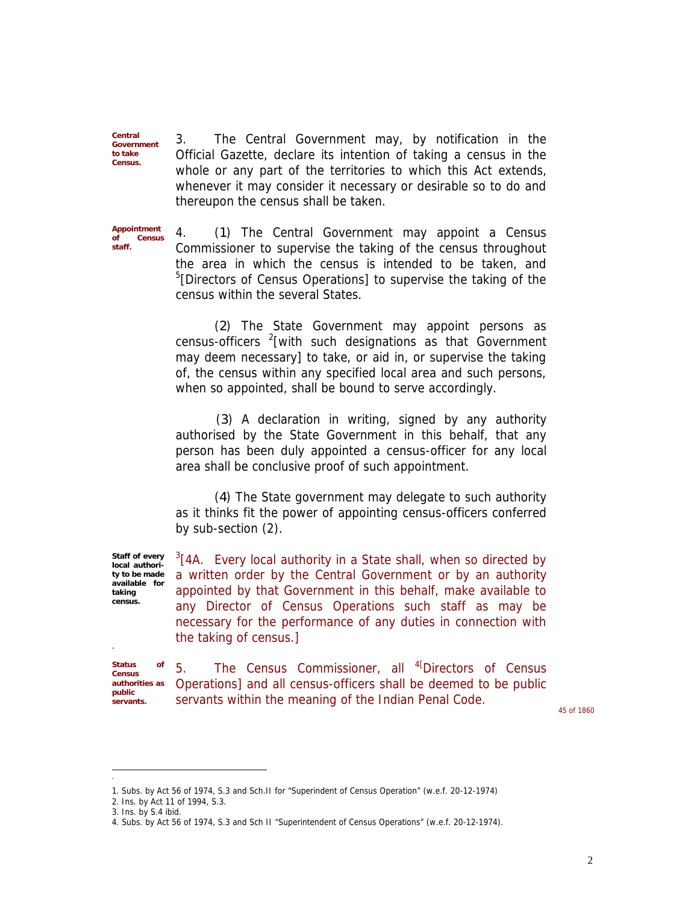3. The Central Government may, by notification in the Official Gazette, declare its intention of taking a census in the whole or any part of the territories to which this Act extends, whenever it may consider it necessary or desirable so to do and thereupon the census shall be taken.

*Appointment of Census staff.*

*Central Government to take Census.*

> 4. (*1*) The Central Government may appoint a Census Commissioner to supervise the taking of the census throughout the area in which the census is intended to be taken, and <sup>5</sup>[Directors of Census Operations] to supervise the taking of the census within the several States.

> (*2*) The State Government may appoint persons as census-officers  $2$ [with such designations as that Government may deem necessary] to take, or aid in, or supervise the taking of, the census within any specified local area and such persons, when so appointed, shall be bound to serve accordingly.

> (*3*) A declaration in writing, signed by any authority authorised by the State Government in this behalf, that any person has been duly appointed a census-officer for any local area shall be conclusive proof of such appointment.

> (*4*) The State government may delegate to such authority as it thinks fit the power of appointing census-officers conferred by sub-section (2).

> $3$ [4A. Every local authority in a State shall, when so directed by a written order by the Central Government or by an authority appointed by that Government in this behalf, make available to any Director of Census Operations such staff as may be necessary for the performance of any duties in connection with the taking of census.]

*Status of Census authorities as public servants.*

í

í

*Staff of every local authority to be made available for taking census.*

> 5. The Census Commissioner, all <sup>4[</sup>Directors of Census Operations] and all census-officers shall be deemed to be public servants within the meaning of the Indian Penal Code.

45 of 1860

<sup>1.</sup> Subs. by Act 56 of 1974, S.3 and Sch.II for "Superindent of Census Operation" (w.e.f. 20-12-1974)

<sup>2.</sup> Ins. by Act 11 of 1994, S.3.

<sup>3.</sup> Ins. by S.4 ibid.

<sup>4.</sup> Subs. by Act 56 of 1974, S.3 and Sch II "Superintendent of Census Operations" (w.e.f. 20-12-1974).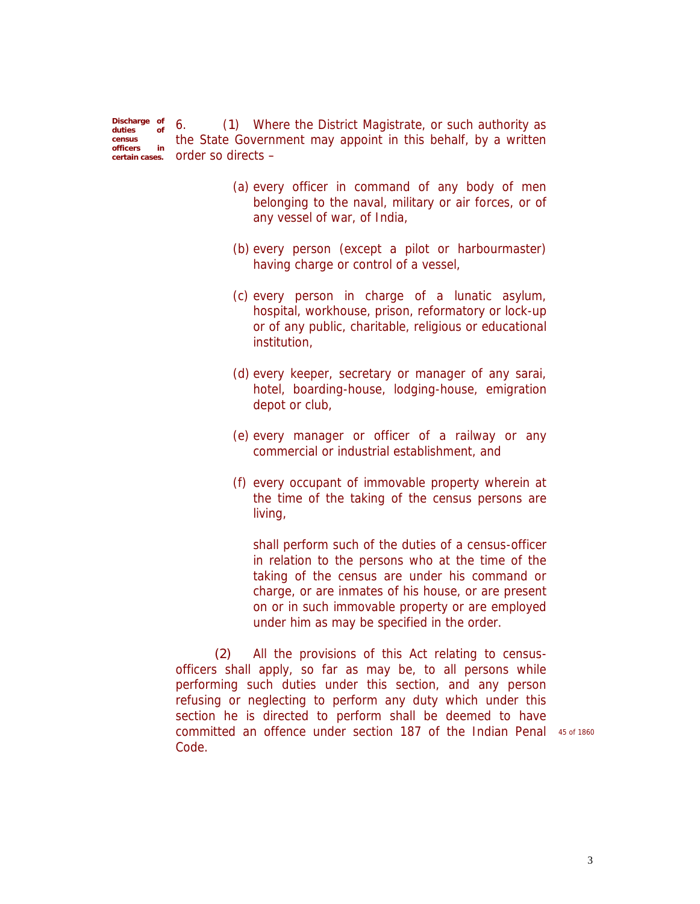*Discharge of duties of census officers in* the State Government may appoint in this behalf, by a written *certain cases.* order so directs – 6. (*1*) Where the District Magistrate, or such authority as

- (a) every officer in command of any body of men belonging to the naval, military or air forces, or of any vessel of war, of India,
- (b) every person (except a pilot or harbourmaster) having charge or control of a vessel,
- (c) every person in charge of a lunatic asylum, hospital, workhouse, prison, reformatory or lock-up or of any public, charitable, religious or educational institution,
- (d) every keeper, secretary or manager of any sarai, hotel, boarding-house, lodging-house, emigration depot or club,
- (e) every manager or officer of a railway or any commercial or industrial establishment, and
- (f) every occupant of immovable property wherein at the time of the taking of the census persons are living,

shall perform such of the duties of a census-officer in relation to the persons who at the time of the taking of the census are under his command or charge, or are inmates of his house, or are present on or in such immovable property or are employed under him as may be specified in the order.

*(2)* All the provisions of this Act relating to censusofficers shall apply, so far as may be, to all persons while performing such duties under this section, and any person refusing or neglecting to perform any duty which under this section he is directed to perform shall be deemed to have committed an offence under section 187 of the Indian Penal 45 of 1860Code.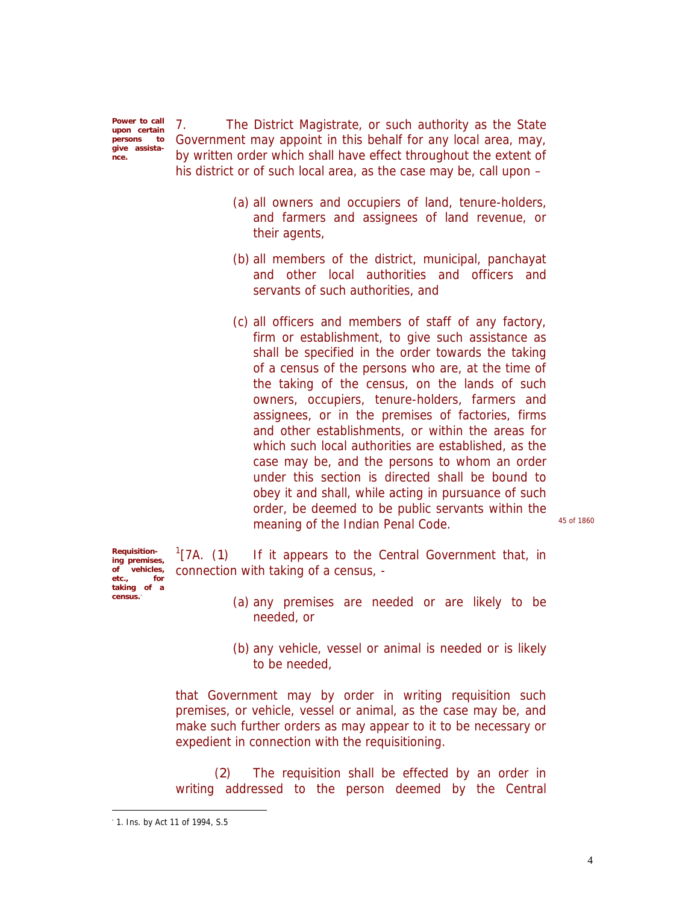*Power to call upon certain persons give assistance.*

7. The District Magistrate, or such authority as the State Government may appoint in this behalf for any local area, may, by written order which shall have effect throughout the extent of his district or of such local area, as the case may be, call upon –

- (a) all owners and occupiers of land, tenure-holders, and farmers and assignees of land revenue, or their agents,
- (b) all members of the district, municipal, panchayat and other local authorities and officers and servants of such authorities, and
- (c) all officers and members of staff of any factory, firm or establishment, to give such assistance as shall be specified in the order towards the taking of a census of the persons who are, at the time of the taking of the census, on the lands of such owners, occupiers, tenure-holders, farmers and assignees, or in the premises of factories, firms and other establishments, or within the areas for which such local authorities are established, as the case may be, and the persons to whom an order under this section is directed shall be bound to obey it and shall, while acting in pursuance of such order, be deemed to be public servants within the meaning of the Indian Penal Code. 45 of 1860

*Requisitioning premises, of vehicles, etc., for taking of a census.*

 $\sqrt[1]{7A}$ . (1) If it appears to the Central Government that, in connection with taking of a census, -

- (a) any premises are needed or are likely to be needed, or
- (b) any vehicle, vessel or animal is needed or is likely to be needed,

that Government may by order in writing requisition such premises, or vehicle, vessel or animal, as the case may be, and make such further orders as may appear to it to be necessary or expedient in connection with the requisitioning.

(*2*) The requisition shall be effected by an order in writing addressed to the person deemed by the Central

1. Ins. by Act 11 of 1994, S.5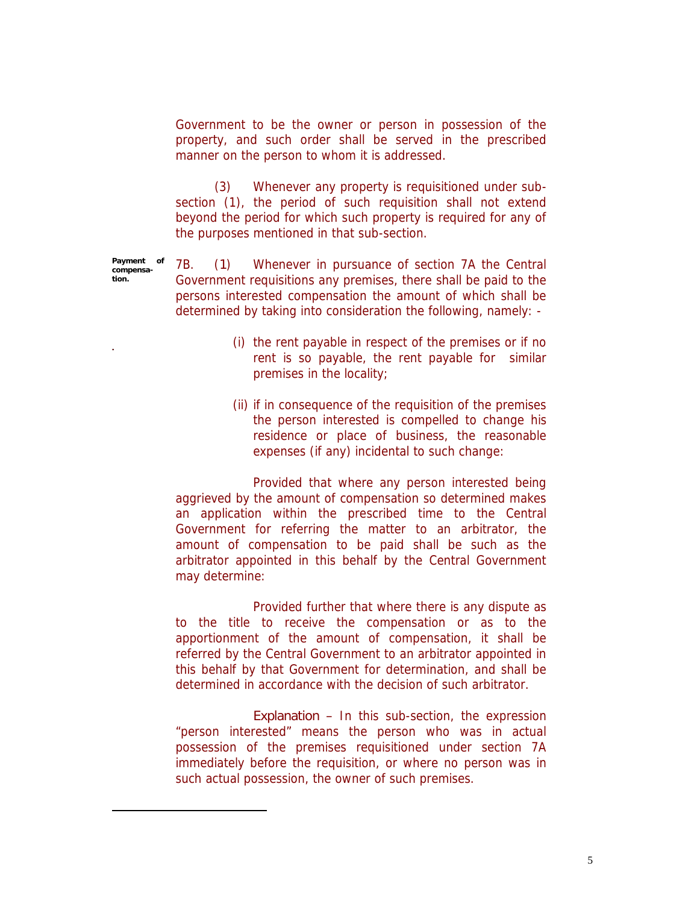Government to be the owner or person in possession of the property, and such order shall be served in the prescribed manner on the person to whom it is addressed.

(3) Whenever any property is requisitioned under subsection (1), the period of such requisition shall not extend beyond the period for which such property is required for any of the purposes mentioned in that sub-section.

*Payment of compensation.* 7B. (*1*) Whenever in pursuance of section 7A the Central Government requisitions any premises, there shall be paid to the persons interested compensation the amount of which shall be determined by taking into consideration the following, namely: -

.

- (i) the rent payable in respect of the premises or if no rent is so payable, the rent payable for similar premises in the locality;
- (ii) if in consequence of the requisition of the premises the person interested is compelled to change his residence or place of business, the reasonable expenses (if any) incidental to such change:

Provided that where any person interested being aggrieved by the amount of compensation so determined makes an application within the prescribed time to the Central Government for referring the matter to an arbitrator, the amount of compensation to be paid shall be such as the arbitrator appointed in this behalf by the Central Government may determine:

Provided further that where there is any dispute as to the title to receive the compensation or as to the apportionment of the amount of compensation, it shall be referred by the Central Government to an arbitrator appointed in this behalf by that Government for determination, and shall be determined in accordance with the decision of such arbitrator.

*Explanation –* In this sub-section, the expression "person interested" means the person who was in actual possession of the premises requisitioned under section 7A immediately before the requisition, or where no person was in such actual possession, the owner of such premises.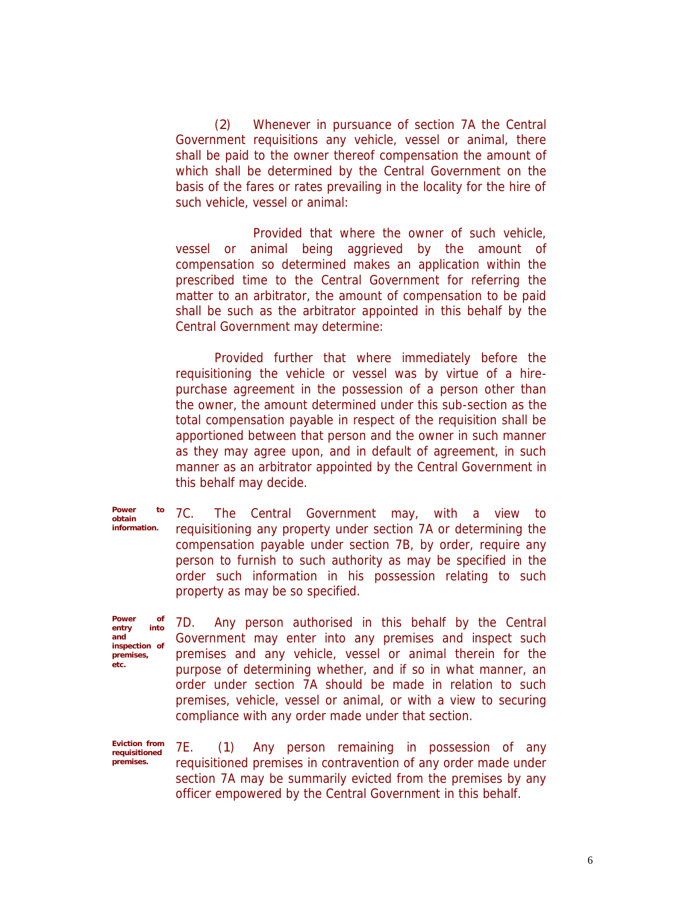(*2*) Whenever in pursuance of section 7A the Central Government requisitions any vehicle, vessel or animal, there shall be paid to the owner thereof compensation the amount of which shall be determined by the Central Government on the basis of the fares or rates prevailing in the locality for the hire of such vehicle, vessel or animal:

Provided that where the owner of such vehicle, vessel or animal being aggrieved by the amount of compensation so determined makes an application within the prescribed time to the Central Government for referring the matter to an arbitrator, the amount of compensation to be paid shall be such as the arbitrator appointed in this behalf by the Central Government may determine:

Provided further that where immediately before the requisitioning the vehicle or vessel was by virtue of a hirepurchase agreement in the possession of a person other than the owner, the amount determined under this sub-section as the total compensation payable in respect of the requisition shall be apportioned between that person and the owner in such manner as they may agree upon, and in default of agreement, in such manner as an arbitrator appointed by the Central Government in this behalf may decide.

*Power to obtain information.*

7C. The Central Government may, with a view to requisitioning any property under section 7A or determining the compensation payable under section 7B, by order, require any person to furnish to such authority as may be specified in the order such information in his possession relating to such property as may be so specified.

*Power of entry into and inspection of premises, etc.*

7D. Any person authorised in this behalf by the Central Government may enter into any premises and inspect such premises and any vehicle, vessel or animal therein for the purpose of determining whether, and if so in what manner, an order under section 7A should be made in relation to such premises, vehicle, vessel or animal, or with a view to securing compliance with any order made under that section.

*Eviction from requisitioned premises.*

7E. (*1*) Any person remaining in possession of any requisitioned premises in contravention of any order made under section 7A may be summarily evicted from the premises by any officer empowered by the Central Government in this behalf.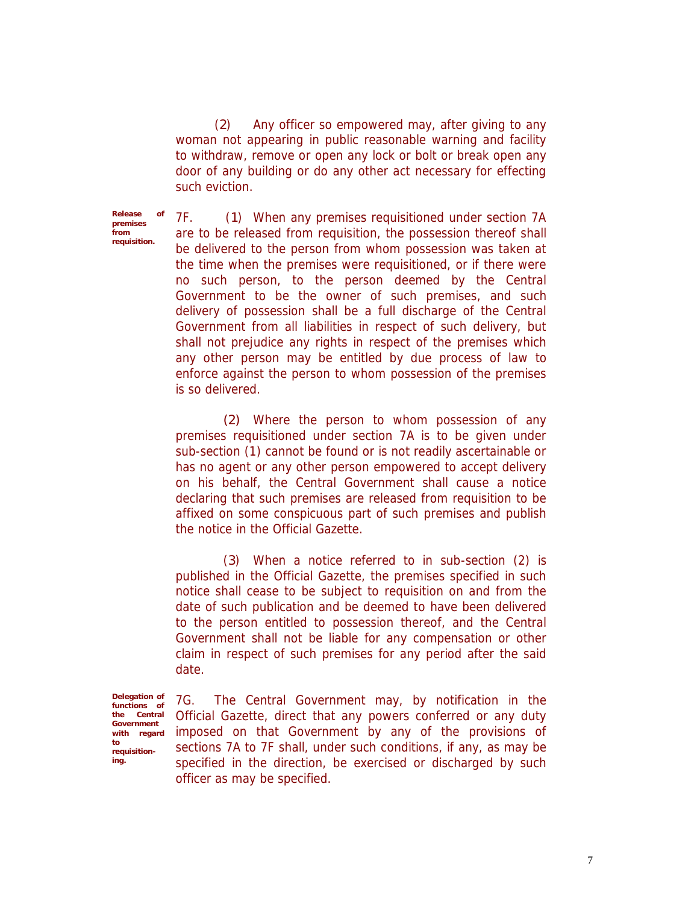(*2*) Any officer so empowered may, after giving to any woman not appearing in public reasonable warning and facility to withdraw, remove or open any lock or bolt or break open any door of any building or do any other act necessary for effecting such eviction.

*Release of premises from requisition.*

7F. (*1*) When any premises requisitioned under section 7A are to be released from requisition, the possession thereof shall be delivered to the person from whom possession was taken at the time when the premises were requisitioned, or if there were no such person, to the person deemed by the Central Government to be the owner of such premises, and such delivery of possession shall be a full discharge of the Central Government from all liabilities in respect of such delivery, but shall not prejudice any rights in respect of the premises which any other person may be entitled by due process of law to enforce against the person to whom possession of the premises is so delivered.

*(2)* Where the person to whom possession of any premises requisitioned under section 7A is to be given under sub-section (1) cannot be found or is not readily ascertainable or has no agent or any other person empowered to accept delivery on his behalf, the Central Government shall cause a notice declaring that such premises are released from requisition to be affixed on some conspicuous part of such premises and publish the notice in the Official Gazette.

(*3*) When a notice referred to in sub-section (2) is published in the Official Gazette, the premises specified in such notice shall cease to be subject to requisition on and from the date of such publication and be deemed to have been delivered to the person entitled to possession thereof, and the Central Government shall not be liable for any compensation or other claim in respect of such premises for any period after the said date.

*Delegation of functions of the Central Government with regard to requisitioning.*

7G. The Central Government may, by notification in the Official Gazette, direct that any powers conferred or any duty imposed on that Government by any of the provisions of sections 7A to 7F shall, under such conditions, if any, as may be specified in the direction, be exercised or discharged by such officer as may be specified.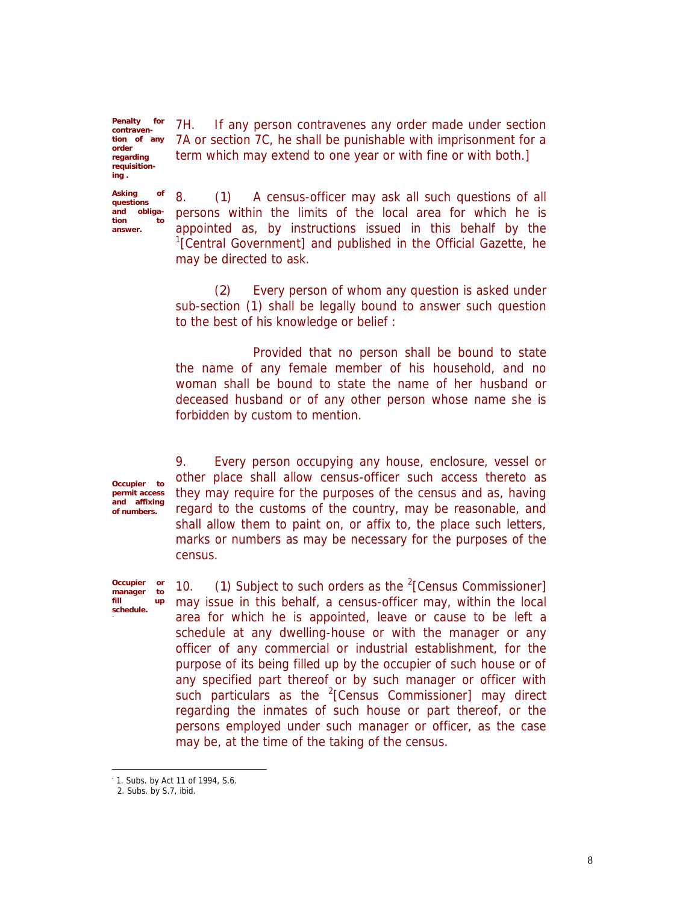*Penalty for contravention of any order regarding requisitioning .*

*Asking of questions and obligation to answer.*

7H. If any person contravenes any order made under section 7A or section 7C, he shall be punishable with imprisonment for a term which may extend to one year or with fine or with both.]

8. (*1*) A census-officer may ask all such questions of all persons within the limits of the local area for which he is appointed as, by instructions issued in this behalf by the <sup>1</sup>[Central Government] and published in the Official Gazette, he may be directed to ask.

(*2*) Every person of whom any question is asked under sub-section (1) shall be legally bound to answer such question to the best of his knowledge or belief :

Provided that no person shall be bound to state the name of any female member of his household, and no woman shall be bound to state the name of her husband or deceased husband or of any other person whose name she is forbidden by custom to mention.

*Occupier to permit access and affixing of numbers.*

*Occupier or manager to fill up schedule.*

9. Every person occupying any house, enclosure, vessel or other place shall allow census-officer such access thereto as they may require for the purposes of the census and as, having regard to the customs of the country, may be reasonable, and shall allow them to paint on, or affix to, the place such letters, marks or numbers as may be necessary for the purposes of the census.

10. (1) Subject to such orders as the <sup>2</sup>[Census Commissioner] may issue in this behalf, a census-officer may, within the local area for which he is appointed, leave or cause to be left a schedule at any dwelling-house or with the manager or any officer of any commercial or industrial establishment, for the purpose of its being filled up by the occupier of such house or of any specified part thereof or by such manager or officer with such particulars as the  $2$ [Census Commissioner] may direct regarding the inmates of such house or part thereof, or the persons employed under such manager or officer, as the case may be, at the time of the taking of the census.

1. Subs. by Act 11 of 1994, S.6.

<sup>2.</sup> Subs. by S.7, ibid.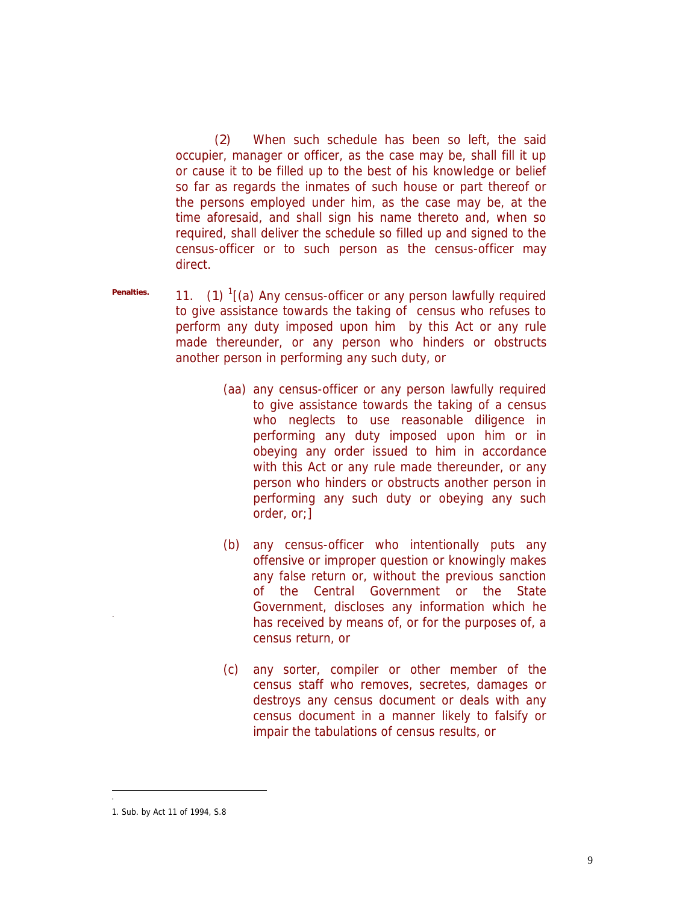(*2*) When such schedule has been so left, the said occupier, manager or officer, as the case may be, shall fill it up or cause it to be filled up to the best of his knowledge or belief so far as regards the inmates of such house or part thereof or the persons employed under him, as the case may be, at the time aforesaid, and shall sign his name thereto and, when so required, shall deliver the schedule so filled up and signed to the census-officer or to such person as the census-officer may direct.

*Penalties.*

11. (*1*) 1 [(a) Any census-officer or any person lawfully required to give assistance towards the taking of census who refuses to perform any duty imposed upon him by this Act or any rule made thereunder, or any person who hinders or obstructs another person in performing any such duty, or

- (aa) any census-officer or any person lawfully required to give assistance towards the taking of a census who neglects to use reasonable diligence in performing any duty imposed upon him or in obeying any order issued to him in accordance with this Act or any rule made thereunder, or any person who hinders or obstructs another person in performing any such duty or obeying any such order, or;]
- (b) any census-officer who intentionally puts any offensive or improper question or knowingly makes any false return or, without the previous sanction of the Central Government or the State Government, discloses any information which he has received by means of, or for the purposes of, a census return, or
- (c) any sorter, compiler or other member of the census staff who removes, secretes, damages or destroys any census document or deals with any census document in a manner likely to falsify or impair the tabulations of census results, or

í

<sup>1.</sup> Sub. by Act 11 of 1994, S.8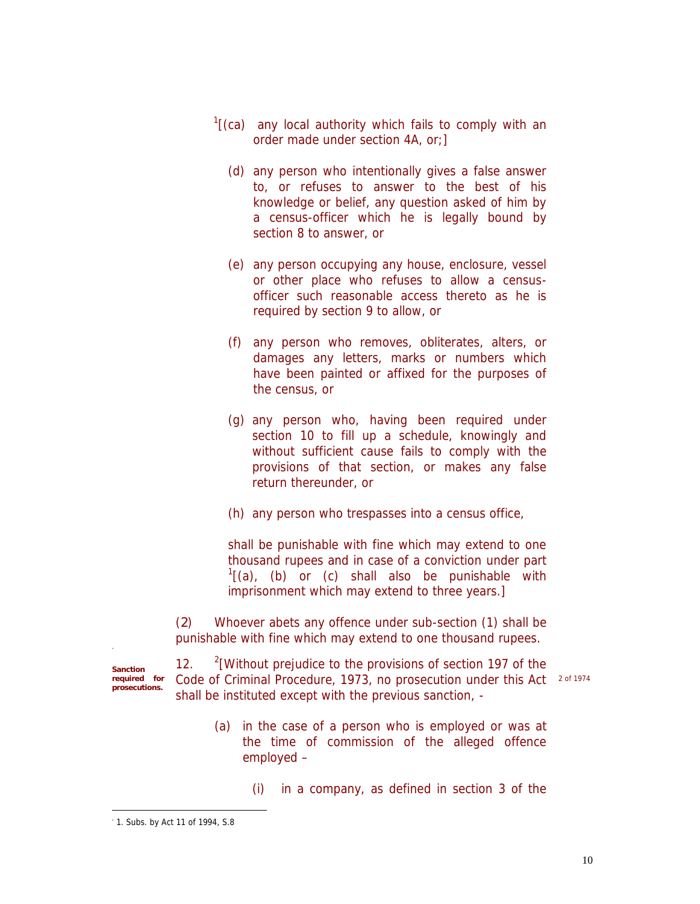- $\frac{1}{2}$  (ca) any local authority which fails to comply with an order made under section 4A, or;]
	- (d) any person who intentionally gives a false answer to, or refuses to answer to the best of his knowledge or belief, any question asked of him by a census-officer which he is legally bound by section 8 to answer, or
	- (e) any person occupying any house, enclosure, vessel or other place who refuses to allow a censusofficer such reasonable access thereto as he is required by section 9 to allow, or
	- (f) any person who removes, obliterates, alters, or damages any letters, marks or numbers which have been painted or affixed for the purposes of the census, or
	- (g) any person who, having been required under section 10 to fill up a schedule, knowingly and without sufficient cause fails to comply with the provisions of that section, or makes any false return thereunder, or
	- (h) any person who trespasses into a census office,

shall be punishable with fine which may extend to one thousand rupees and in case of a conviction under part  $\frac{1}{1}$ (a), (b) or (c) shall also be punishable with imprisonment which may extend to three years.]

(*2*) Whoever abets any offence under sub-section (1) shall be punishable with fine which may extend to one thousand rupees.

*Sanction required for prosecutions.*

ł

 $12.$  $2$ [Without prejudice to the provisions of section 197 of the Code of Criminal Procedure, 1973, no prosecution under this Act 2 of 1974 shall be instituted except with the previous sanction, -

- (a) in the case of a person who is employed or was at the time of commission of the alleged offence employed –
	- (i) in a company, as defined in section 3 of the

1. Subs. by Act 11 of 1994, S.8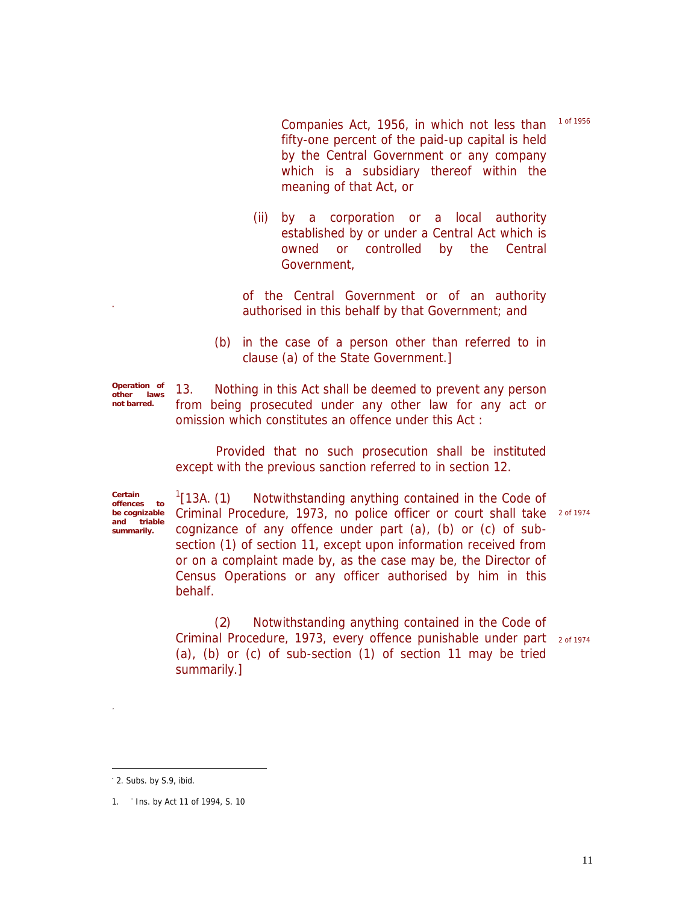1 of 1956

Companies Act, 1956, in which not less than fifty-one percent of the paid-up capital is held by the Central Government or any company which is a subsidiary thereof within the meaning of that Act, or

- (ii) by a corporation or a local authority established by or under a Central Act which is owned or controlled by the Central Government,
- of the Central Government or of an authority authorised in this behalf by that Government; and
- (b) in the case of a person other than referred to in clause (a) of the State Government.]

*Operation of other laws not barred.* 13. Nothing in this Act shall be deemed to prevent any person from being prosecuted under any other law for any act or omission which constitutes an offence under this Act :

> Provided that no such prosecution shall be instituted except with the previous sanction referred to in section 12.

*Certain offences to be cognizable and triable summarily.*

ł

 $[13A. (1)]$ Notwithstanding anything contained in the Code of Criminal Procedure, 1973, no police officer or court shall take 2 of 1974 cognizance of any offence under part (a), (b) or (c) of subsection (1) of section 11, except upon information received from or on a complaint made by, as the case may be, the Director of Census Operations or any officer authorised by him in this behalf.

(*2*) Notwithstanding anything contained in the Code of Criminal Procedure, 1973, every offence punishable under part 2 of 1974 (a), (b) or (c) of sub-section (1) of section 11 may be tried summarily.]

2. Subs. by S.9, ibid.

<sup>1.</sup> Ins. by Act 11 of 1994, S. 10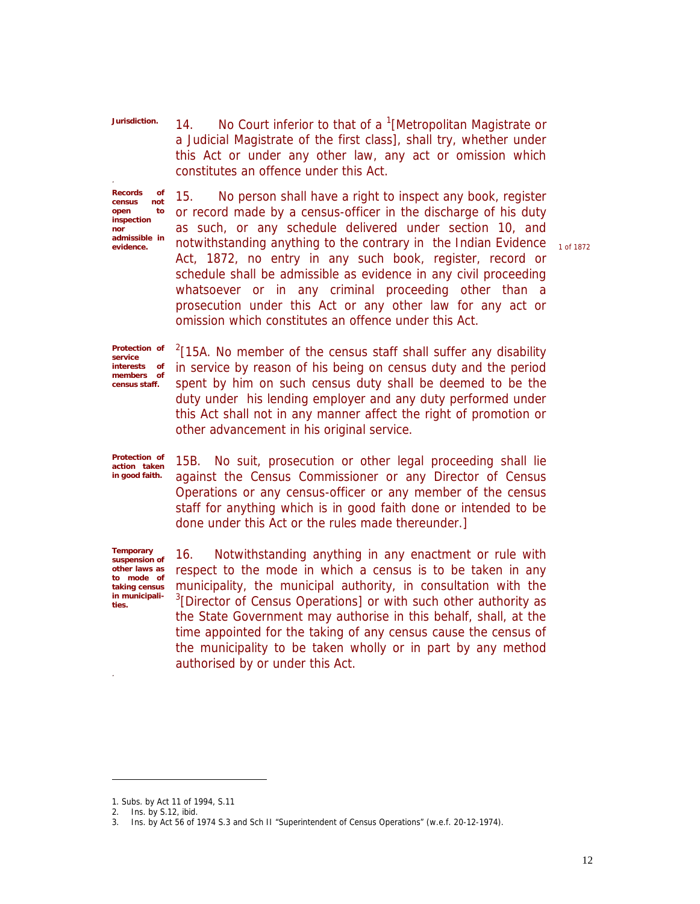14. No Court inferior to that of a  $1$ [Metropolitan Magistrate or a Judicial Magistrate of the first class], shall try, whether under this Act or under any other law, any act or omission which constitutes an offence under this Act.

*Records of census not open to inspection nor admissible in evidence.*

*Jurisdiction.*

15. No person shall have a right to inspect any book, register or record made by a census-officer in the discharge of his duty as such, or any schedule delivered under section 10, and notwithstanding anything to the contrary in the Indian Evidence 10f 1872 Act, 1872, no entry in any such book, register, record or schedule shall be admissible as evidence in any civil proceeding whatsoever or in any criminal proceeding other than a prosecution under this Act or any other law for any act or omission which constitutes an offence under this Act.

*Protection of service interests of members of census staff.*

 $2$ [15A. No member of the census staff shall suffer any disability in service by reason of his being on census duty and the period spent by him on such census duty shall be deemed to be the duty under his lending employer and any duty performed under this Act shall not in any manner affect the right of promotion or other advancement in his original service.

*Protection of action taken in good faith.*

15B. No suit, prosecution or other legal proceeding shall lie against the Census Commissioner or any Director of Census Operations or any census-officer or any member of the census staff for anything which is in good faith done or intended to be done under this Act or the rules made thereunder.]

*Temporary suspension of other laws as to mode of taking census in municipalities.*

16. Notwithstanding anything in any enactment or rule with respect to the mode in which a census is to be taken in any municipality, the municipal authority, in consultation with the <sup>3</sup>[Director of Census Operations] or with such other authority as the State Government may authorise in this behalf, shall, at the time appointed for the taking of any census cause the census of the municipality to be taken wholly or in part by any method authorised by or under this Act.

<sup>1.</sup> Subs. by Act 11 of 1994, S.11

<sup>2.</sup> Ins. by S.12, ibid.

<sup>3.</sup> Ins. by Act 56 of 1974 S.3 and Sch II "Superintendent of Census Operations" (w.e.f. 20-12-1974).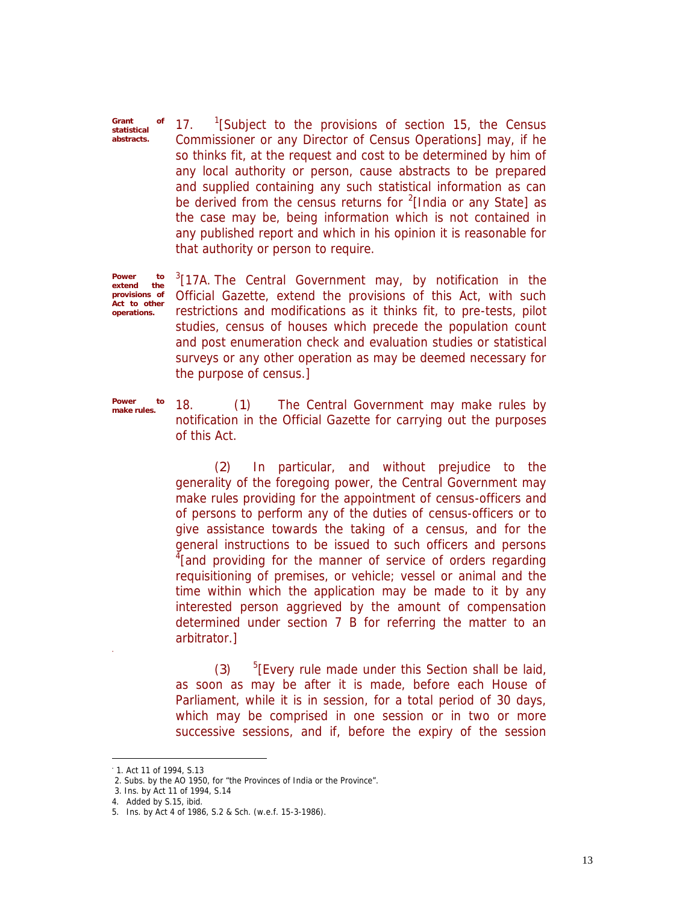*Grant of statistical abstracts.* 17. <sup>1</sup> <sup>1</sup>[Subject to the provisions of section 15, the Census Commissioner or any Director of Census Operations] may, if he so thinks fit, at the request and cost to be determined by him of any local authority or person, cause abstracts to be prepared and supplied containing any such statistical information as can be derived from the census returns for  $2$ [India or any State] as the case may be, being information which is not contained in any published report and which in his opinion it is reasonable for that authority or person to require.

*Power to extend provisions of Act to other operations.*

 $3$ [17A. The Central Government may, by notification in the Official Gazette, extend the provisions of this Act, with such restrictions and modifications as it thinks fit, to pre-tests, pilot studies, census of houses which precede the population count and post enumeration check and evaluation studies or statistical surveys or any other operation as may be deemed necessary for the purpose of census.]

*Power to make rules.*

18. (*1*) The Central Government may make rules by notification in the Official Gazette for carrying out the purposes of this Act.

(*2*) In particular, and without prejudice to the generality of the foregoing power, the Central Government may make rules providing for the appointment of census-officers and of persons to perform any of the duties of census-officers or to give assistance towards the taking of a census, and for the general instructions to be issued to such officers and persons  $4$ [and providing for the manner of service of orders regarding requisitioning of premises, or vehicle; vessel or animal and the time within which the application may be made to it by any interested person aggrieved by the amount of compensation determined under section 7 B for referring the matter to an arbitrator.]

(*3*) <sup>5</sup>[Every rule made under this Section shall be laid, as soon as may be after it is made, before each House of Parliament, while it is in session, for a total period of 30 days, which may be comprised in one session or in two or more successive sessions, and if, before the expiry of the session

ł

4. Added by S.15, ibid.

1. Act 11 of 1994, S.13

<sup>2.</sup> Subs. by the AO 1950, for "the Provinces of India or the Province".

<sup>3.</sup> Ins. by Act 11 of 1994, S.14

<sup>5.</sup> Ins. by Act 4 of 1986, S.2 & Sch. (w.e.f. 15-3-1986).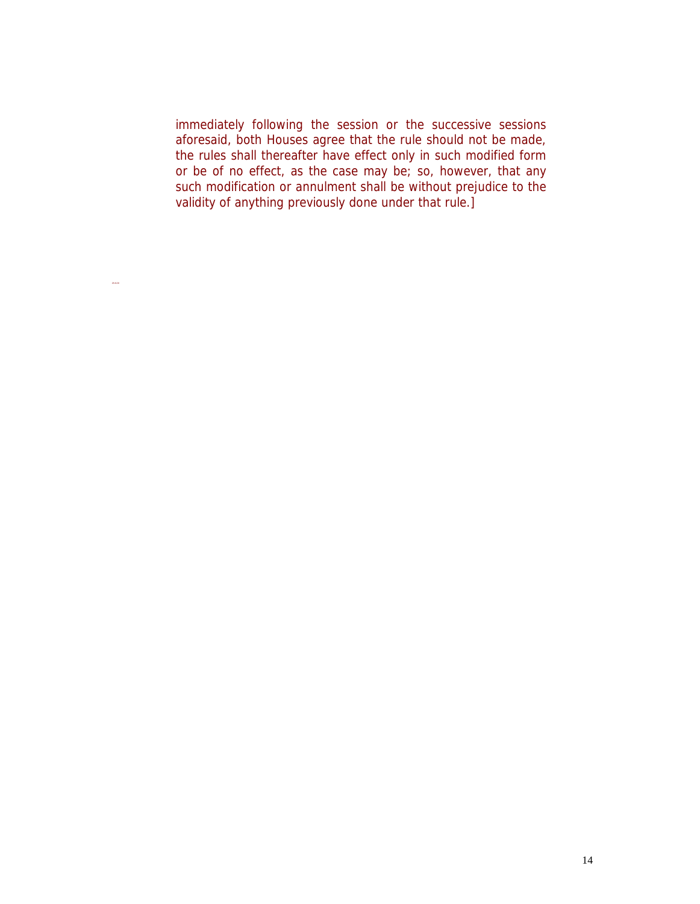immediately following the session or the successive sessions aforesaid, both Houses agree that the rule should not be made, the rules shall thereafter have effect only in such modified form or be of no effect, as the case may be; so, however, that any such modification or annulment shall be without prejudice to the validity of anything previously done under that rule.]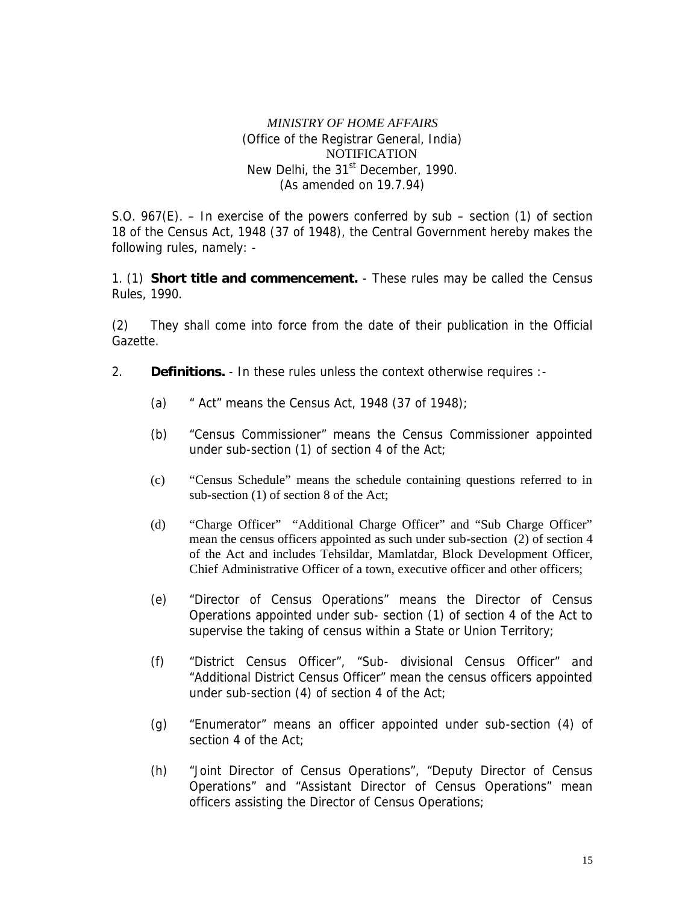## *MINISTRY OF HOME AFFAIRS* (Office of the Registrar General, India) NOTIFICATION New Delhi, the 31<sup>st</sup> December, 1990. (As amended on 19.7.94)

S.O. 967(E). – In exercise of the powers conferred by sub – section (1) of section 18 of the Census Act, 1948 (37 of 1948), the Central Government hereby makes the following rules, namely: -

1. (1) **Short title and commencement.** - These rules may be called the Census Rules, 1990.

(2) They shall come into force from the date of their publication in the Official Gazette.

- 2. **Definitions.** In these rules unless the context otherwise requires :-
	- (a)  $\cdot$  " Act" means the Census Act, 1948 (37 of 1948);
	- (b) "Census Commissioner" means the Census Commissioner appointed under sub-section (1) of section 4 of the Act;
	- (c) "Census Schedule" means the schedule containing questions referred to in sub-section (1) of section 8 of the Act;
	- (d) "Charge Officer" "Additional Charge Officer" and "Sub Charge Officer" mean the census officers appointed as such under sub-section (2) of section 4 of the Act and includes Tehsildar, Mamlatdar, Block Development Officer, Chief Administrative Officer of a town, executive officer and other officers;
	- (e) "Director of Census Operations" means the Director of Census Operations appointed under sub- section (1) of section 4 of the Act to supervise the taking of census within a State or Union Territory;
	- (f) "District Census Officer", "Sub- divisional Census Officer" and "Additional District Census Officer" mean the census officers appointed under sub-section (4) of section 4 of the Act;
	- (g) "Enumerator" means an officer appointed under sub-section (4) of section 4 of the Act;
	- (h) "Joint Director of Census Operations", "Deputy Director of Census Operations" and "Assistant Director of Census Operations" mean officers assisting the Director of Census Operations;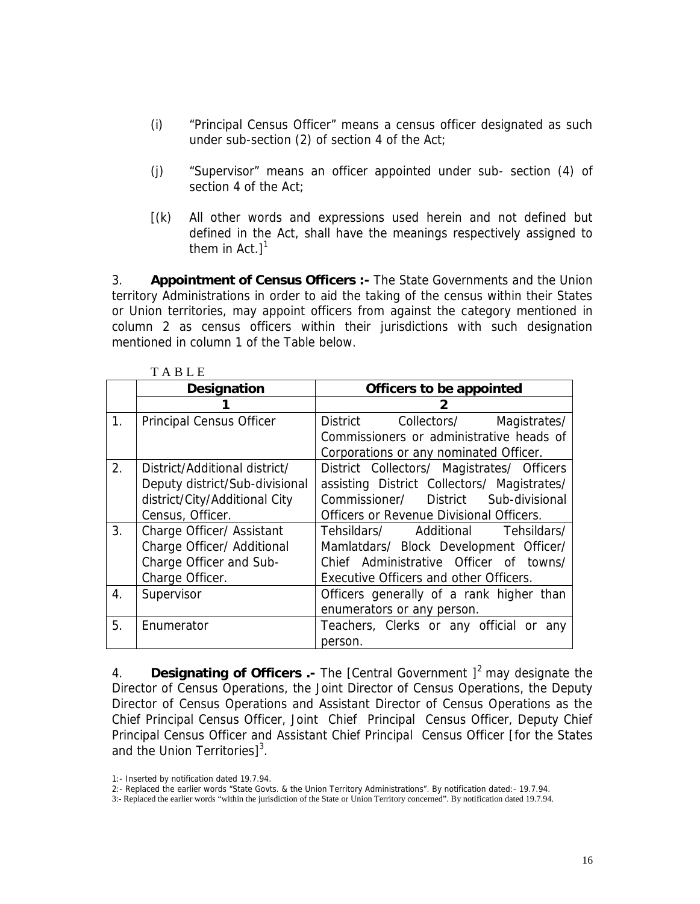- (i) "Principal Census Officer" means a census officer designated as such under sub-section (2) of section 4 of the Act;
- (j) "Supervisor" means an officer appointed under sub- section (4) of section 4 of the Act;
- [(k) All other words and expressions used herein and not defined but defined in the Act, shall have the meanings respectively assigned to them in Act. $]$ <sup>1</sup>

3. **Appointment of Census Officers :-** The State Governments and the Union territory Administrations in order to aid the taking of the census within their States or Union territories, may appoint officers from against the category mentioned in column 2 as census officers within their jurisdictions with such designation mentioned in column 1 of the Table below.

|                | Designation                    | Officers to be appointed                    |  |  |  |  |  |
|----------------|--------------------------------|---------------------------------------------|--|--|--|--|--|
|                |                                |                                             |  |  |  |  |  |
| $\mathbf{1}$ . | Principal Census Officer       | District<br>Collectors/<br>Magistrates/     |  |  |  |  |  |
|                |                                | Commissioners or administrative heads of    |  |  |  |  |  |
|                |                                | Corporations or any nominated Officer.      |  |  |  |  |  |
| 2.             | District/Additional district/  | District Collectors/ Magistrates/ Officers  |  |  |  |  |  |
|                | Deputy district/Sub-divisional | assisting District Collectors/ Magistrates/ |  |  |  |  |  |
|                | district/City/Additional City  | Commissioner/ District Sub-divisional       |  |  |  |  |  |
|                | Census, Officer.               | Officers or Revenue Divisional Officers.    |  |  |  |  |  |
| 3.             | Charge Officer/ Assistant      | Tehsildars/ Additional Tehsildars/          |  |  |  |  |  |
|                | Charge Officer/ Additional     | Mamlatdars/ Block Development Officer/      |  |  |  |  |  |
|                | Charge Officer and Sub-        | Chief Administrative Officer of towns/      |  |  |  |  |  |
|                | Charge Officer.                | Executive Officers and other Officers.      |  |  |  |  |  |
| 4.             | Supervisor                     | Officers generally of a rank higher than    |  |  |  |  |  |
|                |                                | enumerators or any person.                  |  |  |  |  |  |
| 5.             | Enumerator                     | Teachers, Clerks or any official or<br>any  |  |  |  |  |  |
|                |                                | person.                                     |  |  |  |  |  |

4. **Designating of Officers .-** The [Central Government ] <sup>2</sup> may designate the Director of Census Operations, the Joint Director of Census Operations, the Deputy Director of Census Operations and Assistant Director of Census Operations as the Chief Principal Census Officer, Joint Chief Principal Census Officer, Deputy Chief Principal Census Officer and Assistant Chief Principal Census Officer [for the States and the Union Territories]<sup>3</sup>.

- 1:- Inserted by notification dated 19.7.94.
- 2:- Replaced the earlier words "State Govts. & the Union Territory Administrations". By notification dated:- 19.7.94.
- 3:- Replaced the earlier words "within the jurisdiction of the State or Union Territory concerned". By notification dated 19.7.94.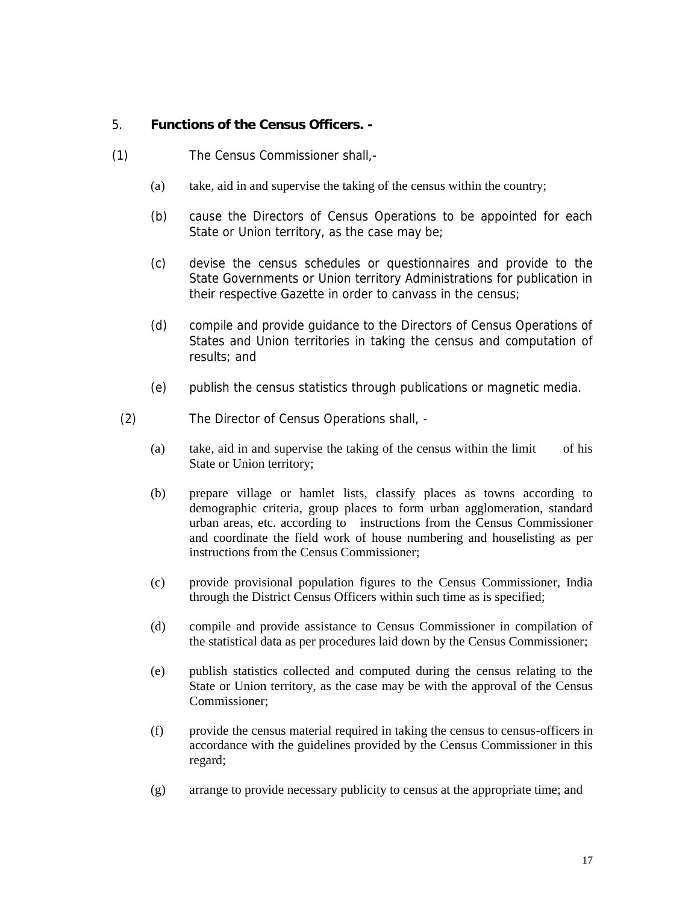- 5. **Functions of the Census Officers. -**
- (1) The Census Commissioner shall,-
	- (a) take, aid in and supervise the taking of the census within the country;
	- (b) cause the Directors of Census Operations to be appointed for each State or Union territory, as the case may be;
	- (c) devise the census schedules or questionnaires and provide to the State Governments or Union territory Administrations for publication in their respective Gazette in order to canvass in the census;
	- (d) compile and provide guidance to the Directors of Census Operations of States and Union territories in taking the census and computation of results; and
	- (e) publish the census statistics through publications or magnetic media.
- (2) The Director of Census Operations shall,
	- (a) take, aid in and supervise the taking of the census within the limit of his State or Union territory;
	- (b) prepare village or hamlet lists, classify places as towns according to demographic criteria, group places to form urban agglomeration, standard urban areas, etc. according to instructions from the Census Commissioner and coordinate the field work of house numbering and houselisting as per instructions from the Census Commissioner;
	- (c) provide provisional population figures to the Census Commissioner, India through the District Census Officers within such time as is specified;
	- (d) compile and provide assistance to Census Commissioner in compilation of the statistical data as per procedures laid down by the Census Commissioner;
	- (e) publish statistics collected and computed during the census relating to the State or Union territory, as the case may be with the approval of the Census Commissioner;
	- (f) provide the census material required in taking the census to census-officers in accordance with the guidelines provided by the Census Commissioner in this regard;
	- (g) arrange to provide necessary publicity to census at the appropriate time; and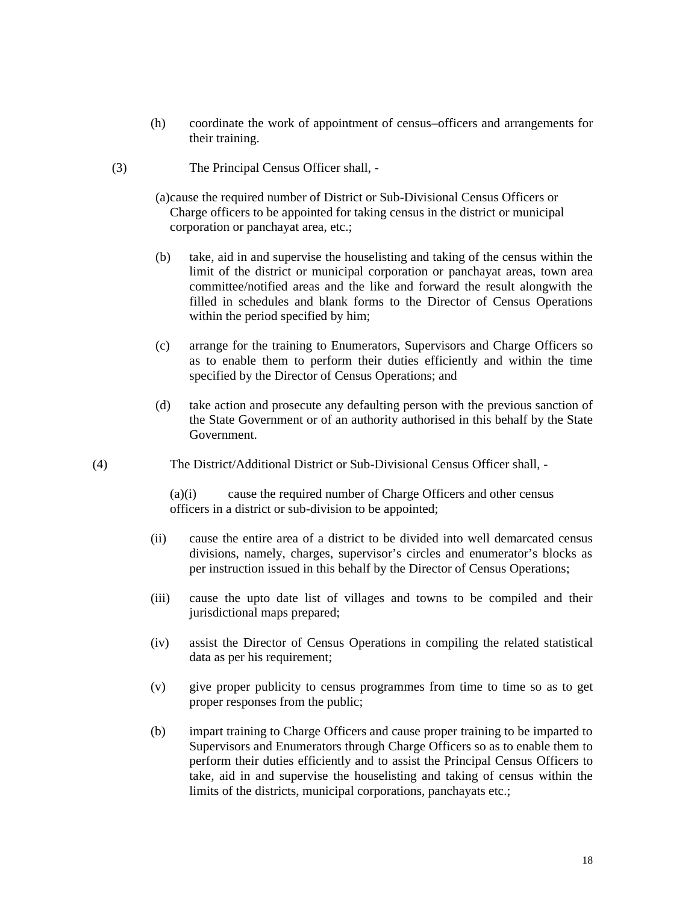- (h) coordinate the work of appointment of census–officers and arrangements for their training.
- (3) The Principal Census Officer shall,
	- (a)cause the required number of District or Sub-Divisional Census Officers or Charge officers to be appointed for taking census in the district or municipal corporation or panchayat area, etc.;
	- (b) take, aid in and supervise the houselisting and taking of the census within the limit of the district or municipal corporation or panchayat areas, town area committee/notified areas and the like and forward the result alongwith the filled in schedules and blank forms to the Director of Census Operations within the period specified by him;
	- (c) arrange for the training to Enumerators, Supervisors and Charge Officers so as to enable them to perform their duties efficiently and within the time specified by the Director of Census Operations; and
	- (d) take action and prosecute any defaulting person with the previous sanction of the State Government or of an authority authorised in this behalf by the State Government.
- (4) The District/Additional District or Sub-Divisional Census Officer shall, -

(a)(i) cause the required number of Charge Officers and other census officers in a district or sub-division to be appointed;

- (ii) cause the entire area of a district to be divided into well demarcated census divisions, namely, charges, supervisor's circles and enumerator's blocks as per instruction issued in this behalf by the Director of Census Operations;
- (iii) cause the upto date list of villages and towns to be compiled and their jurisdictional maps prepared;
- (iv) assist the Director of Census Operations in compiling the related statistical data as per his requirement;
- (v) give proper publicity to census programmes from time to time so as to get proper responses from the public;
- (b) impart training to Charge Officers and cause proper training to be imparted to Supervisors and Enumerators through Charge Officers so as to enable them to perform their duties efficiently and to assist the Principal Census Officers to take, aid in and supervise the houselisting and taking of census within the limits of the districts, municipal corporations, panchayats etc.;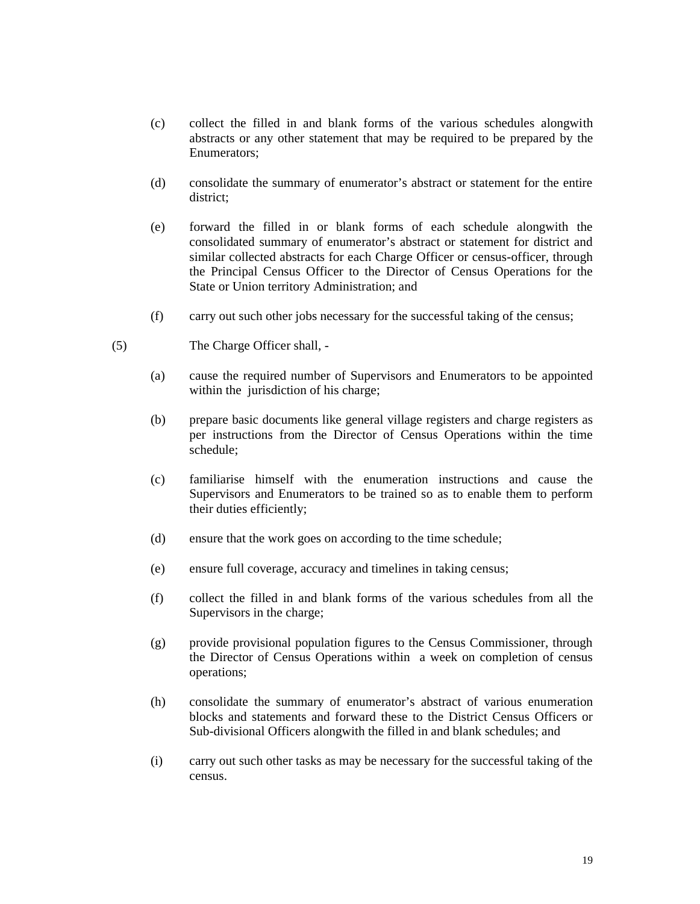- (c) collect the filled in and blank forms of the various schedules alongwith abstracts or any other statement that may be required to be prepared by the Enumerators;
- (d) consolidate the summary of enumerator's abstract or statement for the entire district;
- (e) forward the filled in or blank forms of each schedule alongwith the consolidated summary of enumerator's abstract or statement for district and similar collected abstracts for each Charge Officer or census-officer, through the Principal Census Officer to the Director of Census Operations for the State or Union territory Administration; and
- (f) carry out such other jobs necessary for the successful taking of the census;
- (5) The Charge Officer shall,
	- (a) cause the required number of Supervisors and Enumerators to be appointed within the jurisdiction of his charge;
	- (b) prepare basic documents like general village registers and charge registers as per instructions from the Director of Census Operations within the time schedule;
	- (c) familiarise himself with the enumeration instructions and cause the Supervisors and Enumerators to be trained so as to enable them to perform their duties efficiently;
	- (d) ensure that the work goes on according to the time schedule;
	- (e) ensure full coverage, accuracy and timelines in taking census;
	- (f) collect the filled in and blank forms of the various schedules from all the Supervisors in the charge;
	- (g) provide provisional population figures to the Census Commissioner, through the Director of Census Operations within a week on completion of census operations;
	- (h) consolidate the summary of enumerator's abstract of various enumeration blocks and statements and forward these to the District Census Officers or Sub-divisional Officers alongwith the filled in and blank schedules; and
	- (i) carry out such other tasks as may be necessary for the successful taking of the census.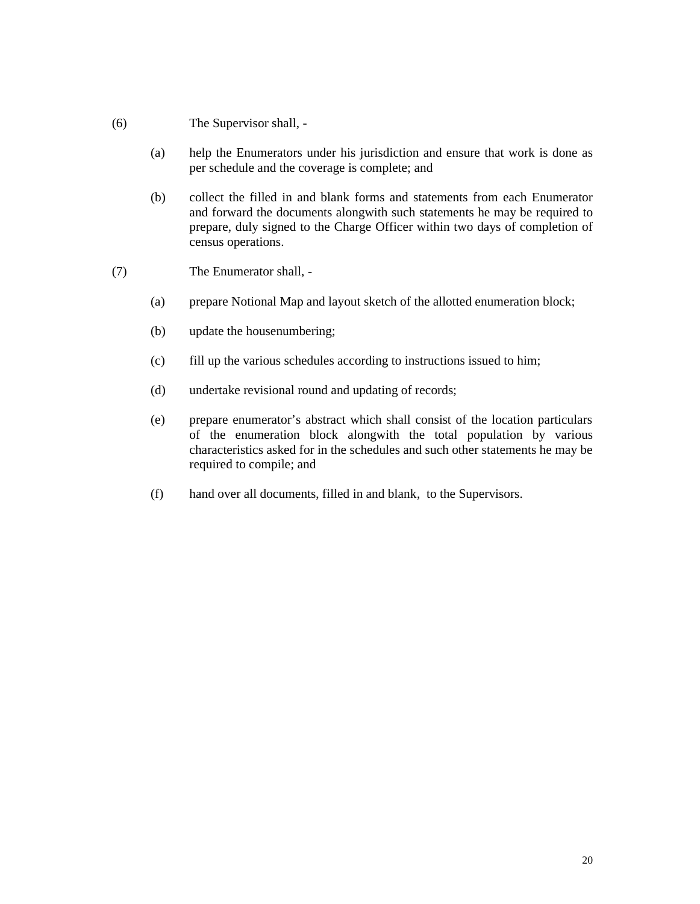## (6) The Supervisor shall, -

- (a) help the Enumerators under his jurisdiction and ensure that work is done as per schedule and the coverage is complete; and
- (b) collect the filled in and blank forms and statements from each Enumerator and forward the documents alongwith such statements he may be required to prepare, duly signed to the Charge Officer within two days of completion of census operations.
- (7) The Enumerator shall,
	- (a) prepare Notional Map and layout sketch of the allotted enumeration block;
	- (b) update the housenumbering;
	- (c) fill up the various schedules according to instructions issued to him;
	- (d) undertake revisional round and updating of records;
	- (e) prepare enumerator's abstract which shall consist of the location particulars of the enumeration block alongwith the total population by various characteristics asked for in the schedules and such other statements he may be required to compile; and
	- (f) hand over all documents, filled in and blank, to the Supervisors.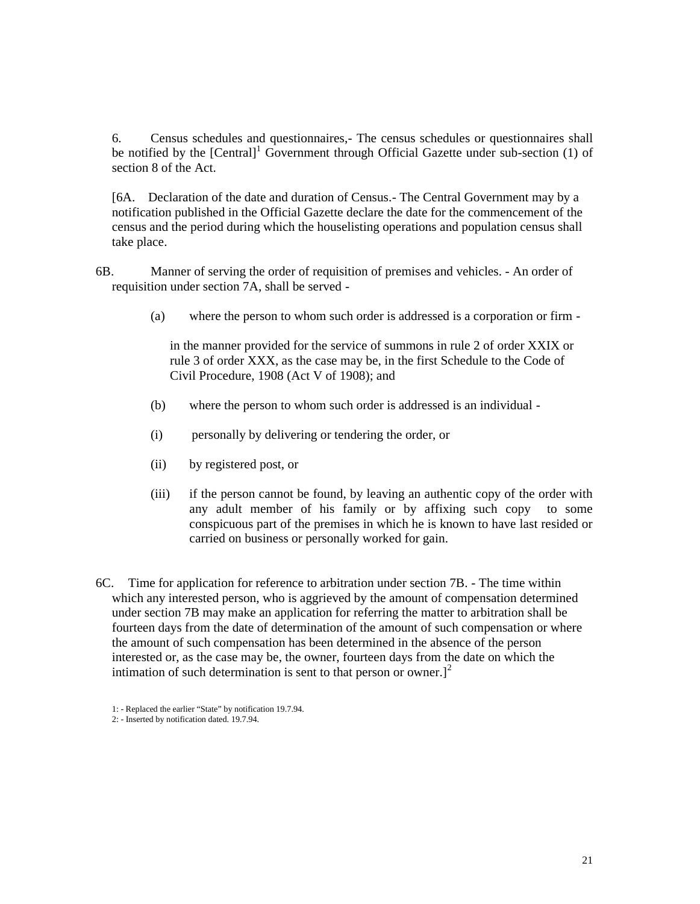6. Census schedules and questionnaires,- The census schedules or questionnaires shall be notified by the [Central]<sup>1</sup> Government through Official Gazette under sub-section (1) of section 8 of the Act.

[6A. Declaration of the date and duration of Census.- The Central Government may by a notification published in the Official Gazette declare the date for the commencement of the census and the period during which the houselisting operations and population census shall take place.

6B. Manner of serving the order of requisition of premises and vehicles. - An order of requisition under section 7A, shall be served -

(a) where the person to whom such order is addressed is a corporation or firm -

in the manner provided for the service of summons in rule 2 of order XXIX or rule 3 of order XXX, as the case may be, in the first Schedule to the Code of Civil Procedure, 1908 (Act V of 1908); and

- (b) where the person to whom such order is addressed is an individual -
- (i) personally by delivering or tendering the order, or
- (ii) by registered post, or
- (iii) if the person cannot be found, by leaving an authentic copy of the order with any adult member of his family or by affixing such copy to some conspicuous part of the premises in which he is known to have last resided or carried on business or personally worked for gain.
- 6C. Time for application for reference to arbitration under section 7B. The time within which any interested person, who is aggrieved by the amount of compensation determined under section 7B may make an application for referring the matter to arbitration shall be fourteen days from the date of determination of the amount of such compensation or where the amount of such compensation has been determined in the absence of the person interested or, as the case may be, the owner, fourteen days from the date on which the intimation of such determination is sent to that person or owner. $]^{2}$ 
	- 1: Replaced the earlier "State" by notification 19.7.94.
	- 2: Inserted by notification dated. 19.7.94.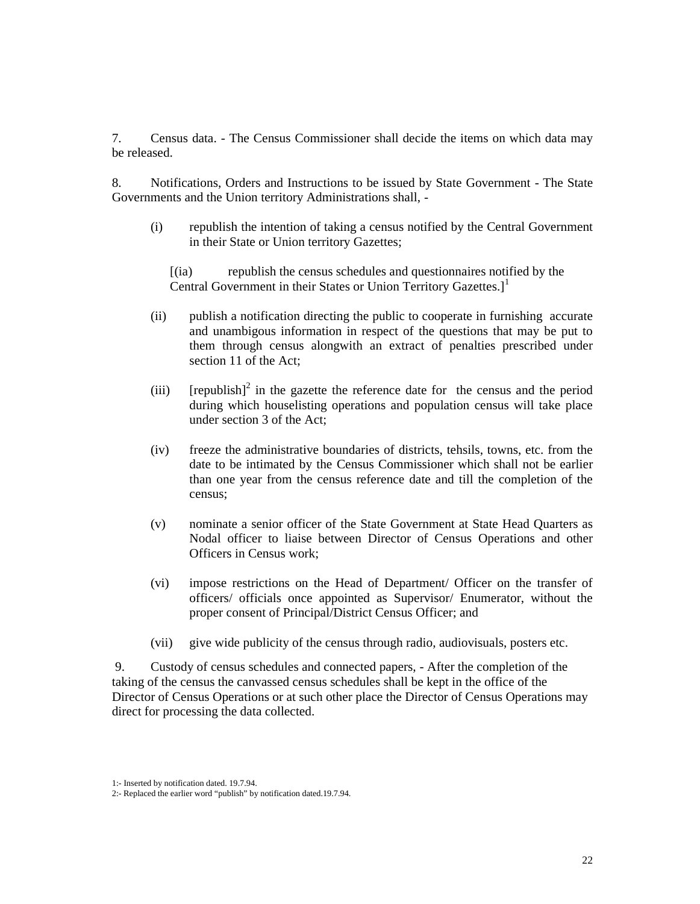7. Census data. - The Census Commissioner shall decide the items on which data may be released.

8. Notifications, Orders and Instructions to be issued by State Government - The State Governments and the Union territory Administrations shall, -

(i) republish the intention of taking a census notified by the Central Government in their State or Union territory Gazettes;

[(ia) republish the census schedules and questionnaires notified by the Central Government in their States or Union Territory Gazettes.<sup>1</sup>

- (ii) publish a notification directing the public to cooperate in furnishing accurate and unambigous information in respect of the questions that may be put to them through census alongwith an extract of penalties prescribed under section 11 of the Act;
- (iii) [republish]<sup>2</sup> in the gazette the reference date for the census and the period during which houselisting operations and population census will take place under section 3 of the Act;
- (iv) freeze the administrative boundaries of districts, tehsils, towns, etc. from the date to be intimated by the Census Commissioner which shall not be earlier than one year from the census reference date and till the completion of the census;
- (v) nominate a senior officer of the State Government at State Head Quarters as Nodal officer to liaise between Director of Census Operations and other Officers in Census work;
- (vi) impose restrictions on the Head of Department/ Officer on the transfer of officers/ officials once appointed as Supervisor/ Enumerator, without the proper consent of Principal/District Census Officer; and
- (vii) give wide publicity of the census through radio, audiovisuals, posters etc.

9. Custody of census schedules and connected papers, - After the completion of the taking of the census the canvassed census schedules shall be kept in the office of the Director of Census Operations or at such other place the Director of Census Operations may direct for processing the data collected.

<sup>1:-</sup> Inserted by notification dated. 19.7.94.

<sup>2:-</sup> Replaced the earlier word "publish" by notification dated.19.7.94.